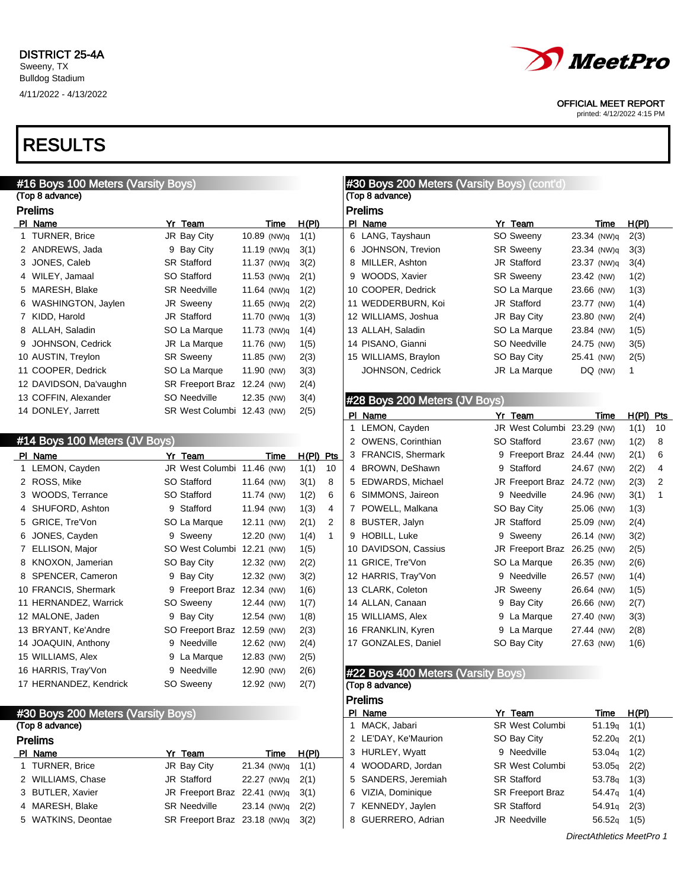# RESULTS

### #16 Boys 100 Meters (Varsity Boys) (Top 8 advance) Prelims PI Name **Yr Team** Time H(PI) 1 TURNER, Brice **JR Bay City** 10.89 (NW)q 1(1) ANDREWS, Jada 9 Bay City 11.19 (NW)q 3(1) JONES, Caleb SR Stafford 11.37 (NW)q 3(2) 4 WILEY, Jamaal SO Stafford 11.53 (NW)q 2(1) 5 MARESH, Blake SR Needville 11.64 (NW)q 1(2) WASHINGTON, Jaylen JR Sweeny 11.65 (NW)q 2(2) KIDD, Harold JR Stafford 11.70 (NW)q 1(3) 8 ALLAH, Saladin SO La Marque 11.73 (NW)q 1(4) 9 JOHNSON, Cedrick JR La Marque 11.76 (NW) 1(5) 10 AUSTIN, Treylon SR Sweeny 11.85 (NW) 2(3) 11 COOPER, Dedrick SO La Marque 11.90 (NW) 3(3) DAVIDSON, Da'vaughn SR Freeport Braz 12.24 (NW) 2(4) COFFIN, Alexander SO Needville 12.35 (NW) 3(4) DONLEY, Jarrett SR West Columbi 12.43 (NW) 2(5)

### #14 Boys 100 Meters (JV Boys)

| PI. | Name                   |   | Yr Team          | Time       | H(PI) | Pts |
|-----|------------------------|---|------------------|------------|-------|-----|
| 1   | LEMON, Cayden          |   | JR West Columbi  | 11.46 (NW) | 1(1)  | 10  |
| 2   | ROSS, Mike             |   | SO Stafford      | 11.64 (NW) | 3(1)  | 8   |
| 3   | WOODS, Terrance        |   | SO Stafford      | 11.74 (NW) | 1(2)  | 6   |
| 4   | SHUFORD, Ashton        | 9 | Stafford         | 11.94 (NW) | 1(3)  | 4   |
| 5   | GRICE, Tre'Von         |   | SO La Marque     | 12.11 (NW) | 2(1)  | 2   |
| 6   | JONES, Cayden          |   | 9 Sweeny         | 12.20 (NW) | 1(4)  | 1   |
| 7   | ELLISON, Major         |   | SO West Columbi  | 12.21 (NW) | 1(5)  |     |
| 8   | KNOXON, Jamerian       |   | SO Bay City      | 12.32 (NW) | 2(2)  |     |
| 8   | SPENCER, Cameron       | 9 | Bay City         | 12.32 (NW) | 3(2)  |     |
|     | 10 FRANCIS, Shermark   |   | 9 Freeport Braz  | 12.34 (NW) | 1(6)  |     |
|     | 11 HERNANDEZ, Warrick  |   | SO Sweeny        | 12.44 (NW) | 1(7)  |     |
|     | 12 MALONE, Jaden       | 9 | Bay City         | 12.54 (NW) | 1(8)  |     |
|     | 13 BRYANT, Ke'Andre    |   | SO Freeport Braz | 12.59 (NW) | 2(3)  |     |
|     | 14 JOAQUIN, Anthony    | 9 | Needville        | 12.62 (NW) | 2(4)  |     |
|     | 15 WILLIAMS, Alex      | 9 | La Marque        | 12.83 (NW) | 2(5)  |     |
|     | 16 HARRIS, Tray'Von    | 9 | Needville        | 12.90 (NW) | 2(6)  |     |
|     | 17 HERNANDEZ, Kendrick |   | SO Sweeny        | 12.92 (NW) | 2(7)  |     |

### #30 Boys 200 Meters (Varsity Boys)

#### (Top 8 advance) Prelims

| <b>PIGIIIIS</b>    |                                      |                      |       |
|--------------------|--------------------------------------|----------------------|-------|
| PI Name            | Yr Team                              | Time                 | H(PI) |
| 1 TURNER, Brice    | JR Bay City                          | $21.34$ (NW)g $1(1)$ |       |
| 2 WILLIAMS, Chase  | JR Stafford                          | 22.27 (NW)g 2(1)     |       |
| 3 BUTLER, Xavier   | JR Freeport Braz 22.41 (NW) $q$ 3(1) |                      |       |
| 4 MARESH, Blake    | <b>SR Needville</b>                  | 23.14 (NW)g 2(2)     |       |
| 5 WATKINS, Deontae | SR Freeport Braz 23.18 (NW)g 3(2)    |                      |       |
|                    |                                      |                      |       |



OFFICIAL MEET REPORT

printed: 4/12/2022 4:15 PM

|   |     | #30 Boys 200 Meters (Varsity Boys) (cont'd) |                             |            |             |       |     |
|---|-----|---------------------------------------------|-----------------------------|------------|-------------|-------|-----|
|   |     | (Top 8 advance)                             |                             |            |             |       |     |
|   |     | <b>Prelims</b>                              |                             |            |             |       |     |
|   |     | PI Name                                     | Yr Team                     |            | Time        | H(PI) |     |
|   | 6   | LANG, Tayshaun                              | SO Sweeny                   |            | 23.34 (NW)q | 2(3)  |     |
|   | 6   | JOHNSON, Trevion                            | <b>SR Sweeny</b>            |            | 23.34 (NW)q | 3(3)  |     |
|   |     | 8 MILLER, Ashton                            | <b>JR Stafford</b>          |            | 23.37 (NW)q | 3(4)  |     |
|   |     | 9 WOODS, Xavier                             | <b>SR Sweeny</b>            |            | 23.42 (NW)  | 1(2)  |     |
|   |     | 10 COOPER, Dedrick                          | SO La Marque                | 23.66 (NW) |             | 1(3)  |     |
|   |     | 11 WEDDERBURN, Koi                          | <b>JR Stafford</b>          | 23.77 (NW) |             | 1(4)  |     |
|   |     | 12 WILLIAMS, Joshua                         | JR Bay City                 | 23.80 (NW) |             | 2(4)  |     |
|   |     | 13 ALLAH, Saladin                           | SO La Marque                | 23.84 (NW) |             | 1(5)  |     |
|   |     | 14 PISANO, Gianni                           | SO Needville                | 24.75 (NW) |             | 3(5)  |     |
|   |     | 15 WILLIAMS, Braylon                        | SO Bay City                 | 25.41 (NW) |             | 2(5)  |     |
|   |     | JOHNSON, Cedrick                            | JR La Marque                |            | DQ (NW)     | 1     |     |
|   |     |                                             |                             |            |             |       |     |
|   |     | #28 Boys 200 Meters (JV Boys)               |                             |            |             |       |     |
|   |     | PI Name                                     | Yr Team                     |            | Time        | H(PI) | Pts |
|   | 1   | LEMON, Cayden                               | JR West Columbi 23.29 (NW)  |            |             | 1(1)  | 10  |
|   | 2   | OWENS, Corinthian                           | SO Stafford                 | 23.67 (NW) |             | 1(2)  | 8   |
| S |     | 3 FRANCIS, Shermark                         | 9 Freeport Braz 24.44 (NW)  |            |             | 2(1)  | 6   |
|   |     | 4 BROWN, DeShawn                            | 9 Stafford                  | 24.67 (NW) |             | 2(2)  | 4   |
|   |     | 5 EDWARDS, Michael                          | JR Freeport Braz 24.72 (NW) |            |             | 2(3)  | 2   |
|   | 6   | SIMMONS, Jaireon                            | 9 Needville                 | 24.96 (NW) |             | 3(1)  | 1   |
|   | 7   | POWELL, Malkana                             | SO Bay City                 | 25.06 (NW) |             | 1(3)  |     |
|   | 8   | BUSTER, Jalyn                               | JR Stafford                 | 25.09 (NW) |             | 2(4)  |     |
|   | 9   | HOBILL, Luke                                | 9 Sweeny                    | 26.14 (NW) |             | 3(2)  |     |
|   |     | 10 DAVIDSON, Cassius                        | JR Freeport Braz            | 26.25 (NW) |             | 2(5)  |     |
|   |     | 11 GRICE, Tre'Von                           | SO La Marque                | 26.35 (NW) |             | 2(6)  |     |
|   |     | 12 HARRIS, Tray'Von                         | 9 Needville                 | 26.57 (NW) |             | 1(4)  |     |
|   |     | 13 CLARK, Coleton                           | JR Sweeny                   | 26.64 (NW) |             | 1(5)  |     |
|   |     | 14 ALLAN, Canaan                            | 9 Bay City                  | 26.66 (NW) |             | 2(7)  |     |
|   |     | 15 WILLIAMS, Alex                           | 9 La Marque                 | 27.40 (NW) |             | 3(3)  |     |
|   |     | 16 FRANKLIN, Kyren                          | 9 La Marque                 | 27.44 (NW) |             | 2(8)  |     |
|   |     | 17 GONZALES, Daniel                         | SO Bay City                 | 27.63 (NW) |             | 1(6)  |     |
|   |     |                                             |                             |            |             |       |     |
|   | הרע | המו                                         |                             |            |             |       |     |

### 2 Boys 400 Meters (Varsity Boys)

#### (Top 8 advance) Prelims

|   | гісшір               |                         |                    |       |
|---|----------------------|-------------------------|--------------------|-------|
|   | PI Name              | Yr Team                 | Time               | H(PI) |
|   | 1 MACK, Jabari       | <b>SR West Columbi</b>  | 51.19q             | 1(1)  |
|   | 2 LE'DAY, Ke'Maurion | SO Bay City             | 52.20q             | 2(1)  |
|   | 3 HURLEY, Wyatt      | 9 Needville             | 53.04g             | 1(2)  |
|   | 4 WOODARD, Jordan    | <b>SR West Columbi</b>  | 53.05q             | 2(2)  |
|   | 5 SANDERS, Jeremiah  | <b>SR Stafford</b>      | 53.78 <sub>g</sub> | 1(3)  |
|   | 6 VIZIA, Dominique   | <b>SR Freeport Braz</b> | 54.47 <sub>g</sub> | 1(4)  |
|   | 7 KENNEDY, Jaylen    | <b>SR Stafford</b>      | 54.91q             | 2(3)  |
| 8 | GUERRERO, Adrian     | <b>JR Needville</b>     | 56.52a             | 1(5)  |
|   |                      |                         |                    |       |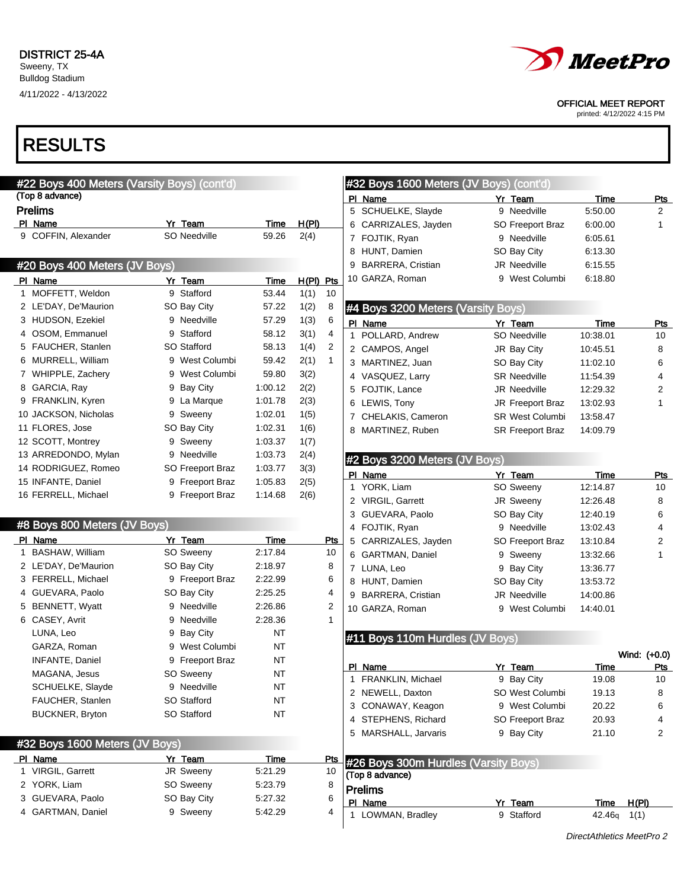Bulldog Stadium 4/11/2022 - 4/13/2022



### OFFICIAL MEET REPORT

printed: 4/12/2022 4:15 PM

| #22 Boys 400 Meters (Varsity Boys) (cont'd) |                  |             |             |                |              | #32 Boys 1600 Meters (JV Boys) (cont'd) |                         |               |                |
|---------------------------------------------|------------------|-------------|-------------|----------------|--------------|-----------------------------------------|-------------------------|---------------|----------------|
| (Top 8 advance)                             |                  |             |             |                |              | PI Name                                 | Yr Team                 | Time          | Pts            |
| <b>Prelims</b>                              |                  |             |             |                |              | 5 SCHUELKE, Slayde                      | 9 Needville             | 5:50.00       | $\overline{2}$ |
| PI Name                                     | Yr Team          | Time        | H(PI)       |                |              | 6 CARRIZALES, Jayden                    | SO Freeport Braz        | 6:00.00       | 1              |
| 9 COFFIN, Alexander                         | SO Needville     | 59.26       | 2(4)        |                |              | 7 FOJTIK, Ryan                          | 9 Needville             | 6:05.61       |                |
|                                             |                  |             |             |                |              | 8 HUNT, Damien                          | SO Bay City             | 6:13.30       |                |
| #20 Boys 400 Meters (JV Boys)               |                  |             |             |                | 9            | <b>BARRERA, Cristian</b>                | <b>JR Needville</b>     | 6:15.55       |                |
| PI Name                                     | Yr Team          | Time        | $H(PI)$ Pts |                |              | 10 GARZA, Roman                         | 9 West Columbi          | 6:18.80       |                |
| 1 MOFFETT, Weldon                           | 9 Stafford       | 53.44       | 1(1)        | 10             |              |                                         |                         |               |                |
| 2 LE'DAY, De'Maurion                        | SO Bay City      | 57.22       | 1(2)        | 8              |              | #4 Boys 3200 Meters (Varsity Boys)      |                         |               |                |
| 3 HUDSON, Ezekiel                           | 9 Needville      | 57.29       | 1(3)        | 6              |              | PI Name                                 | Yr Team                 | <b>Time</b>   | <u>Pts</u>     |
| 4 OSOM, Emmanuel                            | 9 Stafford       | 58.12       | 3(1)        | 4              |              | 1 POLLARD, Andrew                       | SO Needville            | 10:38.01      | 10             |
| 5 FAUCHER, Stanlen                          | SO Stafford      | 58.13       | 1(4)        | $\overline{2}$ |              | 2 CAMPOS, Angel                         | JR Bay City             | 10:45.51      | 8              |
| 6 MURRELL, William                          | 9 West Columbi   | 59.42       | 2(1)        | $\mathbf{1}$   |              | 3 MARTINEZ, Juan                        | SO Bay City             | 11:02.10      | 6              |
| 7 WHIPPLE, Zachery                          | 9 West Columbi   | 59.80       | 3(2)        |                |              | 4 VASQUEZ, Larry                        | <b>SR Needville</b>     | 11:54.39      | 4              |
| 8 GARCIA, Ray                               | 9 Bay City       | 1:00.12     | 2(2)        |                |              | 5 FOJTIK, Lance                         | JR Needville            | 12:29.32      | 2              |
| 9 FRANKLIN, Kyren                           | 9 La Marque      | 1:01.78     | 2(3)        |                |              | 6 LEWIS, Tony                           | JR Freeport Braz        | 13:02.93      | 1              |
| 10 JACKSON, Nicholas                        | 9 Sweeny         | 1:02.01     | 1(5)        |                |              | 7 CHELAKIS, Cameron                     | <b>SR West Columbi</b>  | 13:58.47      |                |
| 11 FLORES, Jose                             | SO Bay City      | 1:02.31     | 1(6)        |                |              | 8 MARTINEZ, Ruben                       | <b>SR Freeport Braz</b> | 14:09.79      |                |
| 12 SCOTT, Montrey                           | 9 Sweeny         | 1:03.37     | 1(7)        |                |              |                                         |                         |               |                |
| 13 ARREDONDO, Mylan                         | 9 Needville      | 1:03.73     | 2(4)        |                |              |                                         |                         |               |                |
| 14 RODRIGUEZ, Romeo                         | SO Freeport Braz | 1:03.77     | 3(3)        |                |              | #2 Boys 3200 Meters (JV Boys)           |                         |               |                |
| 15 INFANTE, Daniel                          | 9 Freeport Braz  | 1:05.83     | 2(5)        |                |              | PI Name                                 | Yr Team                 | Time          | Pts            |
| 16 FERRELL, Michael                         | 9 Freeport Braz  | 1:14.68     | 2(6)        |                |              | 1 YORK, Liam                            | SO Sweeny               | 12:14.87      | 10             |
|                                             |                  |             |             |                |              | 2 VIRGIL, Garrett                       | JR Sweeny               | 12:26.48      | 8              |
| #8 Boys 800 Meters (JV Boys)                |                  |             |             |                |              | 3 GUEVARA, Paolo                        | SO Bay City             | 12:40.19      | 6              |
|                                             |                  |             |             |                |              | 4 FOJTIK, Ryan                          | 9 Needville             | 13:02.43      | 4              |
| PI Name                                     | Yr Team          | <b>Time</b> |             | Pts            |              | 5 CARRIZALES, Jayden                    | SO Freeport Braz        | 13:10.84      | 2              |
| 1 BASHAW, William                           | SO Sweeny        | 2:17.84     |             | 10             |              | 6 GARTMAN, Daniel                       | 9 Sweeny                | 13:32.66      | 1              |
| 2 LE'DAY, De'Maurion                        | SO Bay City      | 2:18.97     |             | 8              |              | 7 LUNA, Leo                             | 9 Bay City              | 13:36.77      |                |
| 3 FERRELL, Michael                          | 9 Freeport Braz  | 2:22.99     |             | 6              |              | 8 HUNT, Damien                          | SO Bay City             | 13:53.72      |                |
| 4 GUEVARA, Paolo                            | SO Bay City      | 2:25.25     |             | 4              |              | 9 BARRERA, Cristian                     | <b>JR Needville</b>     | 14:00.86      |                |
| 5 BENNETT, Wyatt                            | 9 Needville      | 2:26.86     |             | 2              |              | 10 GARZA, Roman                         | 9 West Columbi          | 14:40.01      |                |
| 6 CASEY, Avrit                              | 9 Needville      | 2:28.36     |             | $\mathbf{1}$   |              |                                         |                         |               |                |
| LUNA, Leo                                   | 9 Bay City       | NT          |             |                |              | #11 Boys 110m Hurdles (JV Boys)         |                         |               |                |
| GARZA, Roman                                | 9 West Columbi   | <b>NT</b>   |             |                |              |                                         |                         |               | Wind: (+0.0)   |
| <b>INFANTE, Daniel</b>                      | 9 Freeport Braz  | NT          |             |                |              | PI Name                                 | Yr Team                 | Time          | Pts            |
| MAGANA, Jesus                               | SO Sweeny        | $\sf{NT}$   |             |                | $\mathbf{1}$ | FRANKLIN, Michael                       | 9 Bay City              | 19.08         | 10             |
| SCHUELKE, Slayde                            | 9 Needville      | NT          |             |                |              | 2 NEWELL, Daxton                        | SO West Columbi         | 19.13         | 8              |
| FAUCHER, Stanlen                            | SO Stafford      | NT          |             |                |              | 3 CONAWAY, Keagon                       | 9 West Columbi          | 20.22         | 6              |
| <b>BUCKNER, Bryton</b>                      | SO Stafford      | NT          |             |                | 4            | STEPHENS, Richard                       | SO Freeport Braz        | 20.93         | 4              |
|                                             |                  |             |             |                |              | 5 MARSHALL, Jarvaris                    | 9 Bay City              | 21.10         | 2              |
| #32 Boys 1600 Meters (JV Boys)              |                  |             |             |                |              |                                         |                         |               |                |
| PI Name                                     | Yr Team          | Time        |             | <b>Pts</b>     |              | #26 Boys 300m Hurdles (Varsity Boys)    |                         |               |                |
| 1 VIRGIL, Garrett                           | JR Sweeny        | 5:21.29     |             | 10             |              | (Top 8 advance)                         |                         |               |                |
| 2 YORK, Liam                                | SO Sweeny        | 5:23.79     |             | 8              |              | <b>Prelims</b>                          |                         |               |                |
| 3 GUEVARA, Paolo                            | SO Bay City      | 5:27.32     |             | 6              |              | PI Name                                 | Yr Team                 | <b>Time</b>   | H(PI)          |
| 4 GARTMAN, Daniel                           | 9 Sweeny         | 5:42.29     |             | 4              |              | 1 LOWMAN, Bradley                       | 9 Stafford              | $42.46q$ 1(1) |                |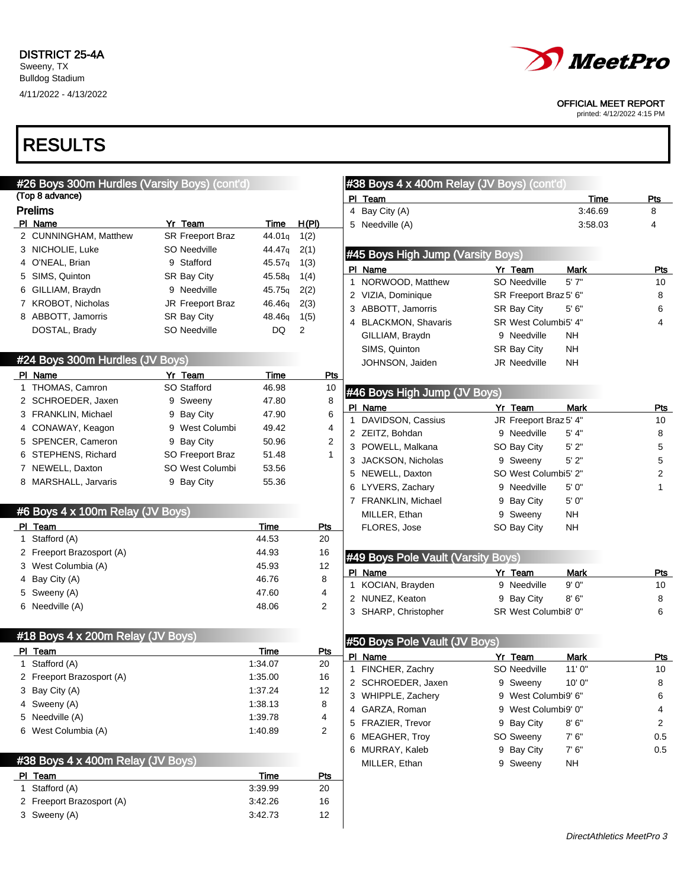

OFFICIAL MEET REPORT

printed: 4/12/2022 4:15 PM

| #26 Boys 300m Hurdles (Varsity Boys) (cont'd) |                         |                    |                         | #38 Boys 4 x 400m Relay (JV Boys) (cont'd) |                        |                           |                  |
|-----------------------------------------------|-------------------------|--------------------|-------------------------|--------------------------------------------|------------------------|---------------------------|------------------|
| (Top 8 advance)                               |                         |                    |                         | PI Team                                    |                        | Time                      | Pts              |
| <b>Prelims</b>                                |                         |                    |                         | 4 Bay City (A)                             |                        | 3:46.69                   | 8                |
| PI Name                                       | Yr Team                 | Time               | H(PI)                   | 5 Needville (A)                            |                        | 3:58.03                   | 4                |
| 2 CUNNINGHAM, Matthew                         | <b>SR Freeport Braz</b> | 44.01q             | 1(2)                    |                                            |                        |                           |                  |
| 3 NICHOLIE, Luke                              | SO Needville            | 44.47q             | 2(1)                    | #45 Boys High Jump (Varsity Boys)          |                        |                           |                  |
| 4 O'NEAL, Brian                               | 9 Stafford              | 45.57q             | 1(3)                    | PI Name                                    | Yr Team                | Mark                      | Pts              |
| 5 SIMS, Quinton                               | SR Bay City             | 45.58g             | 1(4)                    | 1 NORWOOD, Matthew                         | SO Needville           | 5' 7"                     | 10               |
| 6 GILLIAM, Braydn                             | 9 Needville             | 45.75g             | 2(2)                    | 2 VIZIA, Dominique                         | SR Freeport Braz 5' 6" |                           | 8                |
| 7 KROBOT, Nicholas                            | <b>JR Freeport Braz</b> | 46.46 <sub>g</sub> | 2(3)                    | 3 ABBOTT, Jamorris                         | SR Bay City            | 5' 6"                     | 6                |
| 8 ABBOTT, Jamorris                            | SR Bay City             | 48.46q             | 1(5)                    | 4 BLACKMON, Shavaris                       | SR West Columbi5' 4"   |                           | 4                |
| DOSTAL, Brady                                 | SO Needville            | DQ                 | 2                       | GILLIAM, Braydn                            | 9 Needville            | NH                        |                  |
|                                               |                         |                    |                         | SIMS, Quinton                              | SR Bay City            | <b>NH</b>                 |                  |
| #24 Boys 300m Hurdles (JV Boys)               |                         |                    |                         | JOHNSON, Jaiden                            | <b>JR Needville</b>    | NH                        |                  |
| PI Name                                       | Yr Team                 | Time               | Pts                     |                                            |                        |                           |                  |
| 1 THOMAS, Camron                              | SO Stafford             | 46.98              | 10                      | #46 Boys High Jump (JV Boys)               |                        |                           |                  |
| 2 SCHROEDER, Jaxen                            | 9 Sweeny                | 47.80              | 8                       | PI Name                                    | Yr Team                | Mark                      |                  |
| 3 FRANKLIN, Michael                           | 9 Bay City              | 47.90              | 6                       | 1 DAVIDSON, Cassius                        | JR Freeport Braz 5' 4" |                           | Pts<br>10        |
| 4 CONAWAY, Keagon                             | 9 West Columbi          | 49.42              | 4                       | 2 ZEITZ, Bohdan                            | 9 Needville            | 5' 4"                     | 8                |
| 5 SPENCER, Cameron                            | 9 Bay City              | 50.96              | $\overline{\mathbf{c}}$ | 3 POWELL, Malkana                          | SO Bay City            | 5'2"                      | 5                |
| 6 STEPHENS, Richard                           | SO Freeport Braz        | 51.48              | $\mathbf{1}$            | 3 JACKSON, Nicholas                        | 9 Sweeny               | 5'2"                      | 5                |
| 7 NEWELL, Daxton                              | SO West Columbi         | 53.56              |                         | 5 NEWELL, Daxton                           | SO West Columbi5' 2"   |                           | $\boldsymbol{2}$ |
| 8 MARSHALL, Jarvaris                          | 9 Bay City              | 55.36              |                         | 6 LYVERS, Zachary                          | 9 Needville            | 5' 0"                     | 1                |
|                                               |                         |                    |                         | 7 FRANKLIN, Michael                        | 9 Bay City             | 5'0''                     |                  |
| #6 Boys 4 x 100m Relay (JV Boys)              |                         |                    |                         | MILLER, Ethan                              | 9 Sweeny               | <b>NH</b>                 |                  |
| PI Team                                       |                         | Time               | <b>Pts</b>              | FLORES, Jose                               | SO Bay City            | <b>NH</b>                 |                  |
| 1 Stafford (A)                                |                         | 44.53              | 20                      |                                            |                        |                           |                  |
| 2 Freeport Brazosport (A)                     |                         | 44.93              | 16                      |                                            |                        |                           |                  |
| 3 West Columbia (A)                           |                         | 45.93              | 12                      | #49 Boys Pole Vault (Varsity Boys)         |                        |                           |                  |
| 4 Bay City (A)                                |                         | 46.76              | 8                       | PI Name                                    | Yr Team                | <b>Mark</b>               | Pts              |
| 5 Sweeny (A)                                  |                         | 47.60              | 4                       | 1 KOCIAN, Brayden                          | 9 Needville            | 9'0''                     | 10               |
| 6 Needville (A)                               |                         | 48.06              | $\overline{2}$          | 2 NUNEZ, Keaton                            | 9 Bay City             | 8'6''                     | 8                |
|                                               |                         |                    |                         | 3 SHARP, Christopher                       | SR West Columbi8' 0"   |                           | 6                |
| #18 Boys 4 x 200m Relay (JV Boys)             |                         |                    |                         |                                            |                        |                           |                  |
| PI Team                                       |                         | Time               | Pts                     | #50 Boys Pole Vault (JV Boys)              |                        |                           |                  |
| 1 Stafford (A)                                |                         | 1:34.07            | 20                      | PI Name                                    | Yr Team                | Mark                      | Pts              |
| 2 Freeport Brazosport (A)                     |                         | 1:35.00            | 16                      | 1 FINCHER, Zachry                          | <b>SO Needville</b>    | 11'0''                    | 10               |
| 3 Bay City (A)                                |                         | 1:37.24            | 12                      | 2 SCHROEDER, Jaxen                         | 9 Sweeny               | 10' 0"                    | 8                |
| 4 Sweeny (A)                                  |                         | 1:38.13            | 8                       | 3 WHIPPLE, Zachery                         | 9 West Columbi9' 6"    |                           | 6                |
| 5 Needville (A)                               |                         | 1:39.78            | 4                       | 4 GARZA, Roman                             | 9 West Columbi9' 0"    |                           | 4                |
| 6 West Columbia (A)                           |                         | 1:40.89            | $\overline{2}$          | 5 FRAZIER, Trevor                          | 9 Bay City             | 8'6''                     | $\overline{2}$   |
|                                               |                         |                    |                         | 6 MEAGHER, Troy                            | SO Sweeny              | 7'6''                     | 0.5              |
|                                               |                         |                    |                         | 6 MURRAY, Kaleb                            | 9 Bay City             | 7'6''                     | 0.5              |
| #38 Boys 4 x 400m Relay (JV Boys)             |                         |                    |                         | MILLER, Ethan                              | 9 Sweeny               | <b>NH</b>                 |                  |
| PI Team                                       |                         | <b>Time</b>        | <u>Pts</u>              |                                            |                        |                           |                  |
| 1 Stafford (A)                                |                         | 3:39.99            | 20                      |                                            |                        |                           |                  |
| 2 Freeport Brazosport (A)                     |                         | 3:42.26            | 16                      |                                            |                        |                           |                  |
| 3 Sweeny (A)                                  |                         | 3:42.73            | 12                      |                                            |                        |                           |                  |
|                                               |                         |                    |                         |                                            |                        | DirectAthletics MeetPro 3 |                  |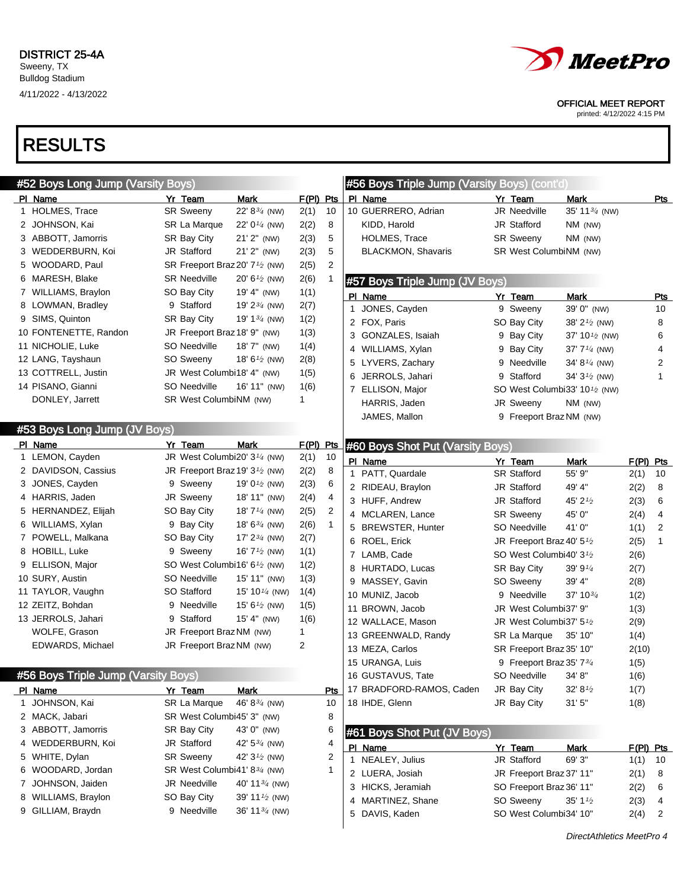

#### OFFICIAL MEET REPORT

printed: 4/12/2022 4:15 PM

| #52 Boys Long Jump (Varsity Boys)   |   |                                                         |                                 |             |                |   | #56 Boys Triple Jump (Varsity Boys) (cont'd) |                                                        |                            |              |                |
|-------------------------------------|---|---------------------------------------------------------|---------------------------------|-------------|----------------|---|----------------------------------------------|--------------------------------------------------------|----------------------------|--------------|----------------|
| PI Name                             |   | Yr Team                                                 | <b>Mark</b>                     | $F(PI)$ Pts |                |   | PI Name                                      | Yr Team                                                | Mark                       |              | Pts            |
| 1 HOLMES, Trace                     |   | <b>SR Sweeny</b>                                        | 22' 83/4 (NW)                   | 2(1)        | 10             |   | 10 GUERRERO, Adrian                          | JR Needville                                           | 35' 11 <sup>3/4</sup> (NW) |              |                |
| 2 JOHNSON, Kai                      |   | SR La Marque                                            | 22' 0 <sup>1/4</sup> (NW)       | 2(2)        | 8              |   | KIDD, Harold                                 | JR Stafford                                            | NM (NW)                    |              |                |
| 3 ABBOTT, Jamorris                  |   | SR Bay City                                             | 21' 2" (NW)                     | 2(3)        | 5              |   | HOLMES, Trace                                | <b>SR Sweeny</b>                                       | NM (NW)                    |              |                |
| 3 WEDDERBURN, Koi                   |   | JR Stafford                                             | 21' 2" (NW)                     | 2(3)        | 5              |   | <b>BLACKMON, Shavaris</b>                    | SR West ColumbiNM (NW)                                 |                            |              |                |
| 5 WOODARD, Paul                     |   | SR Freeport Braz 20' 7 <sup>1</sup> / <sub>2</sub> (NW) |                                 | 2(5)        | 2              |   |                                              |                                                        |                            |              |                |
| 6 MARESH, Blake                     |   | <b>SR Needville</b>                                     | 20' 6 $\frac{1}{2}$ (NW)        | 2(6)        |                |   | #57 Boys Triple Jump (JV Boys)               |                                                        |                            |              |                |
| 7 WILLIAMS, Braylon                 |   | SO Bay City                                             | 19' 4" (NW)                     | 1(1)        |                |   | PI Name                                      | Yr Team                                                | Mark                       |              | Pts            |
| 8 LOWMAN, Bradley                   |   | 9 Stafford                                              | 19' 2 $\frac{3}{4}$ (NW)        | 2(7)        |                |   | 1 JONES, Cayden                              | 9 Sweeny                                               | 39' 0" (NW)                |              | 10             |
| 9 SIMS, Quinton                     |   | SR Bay City                                             | 19' 1 <sup>3/4</sup> (NW)       | 1(2)        |                |   | 2 FOX, Paris                                 | SO Bay City                                            | 38' 2 <sup>1/2</sup> (NW)  |              | 8              |
| 10 FONTENETTE, Randon               |   | JR Freeport Braz 18' 9" (NW)                            |                                 | 1(3)        |                |   | 3 GONZALES, Isaiah                           | 9 Bay City                                             | 37' 10 <sup>1/2</sup> (NW) |              | 6              |
| 11 NICHOLIE, Luke                   |   | SO Needville                                            | 18' 7" (NW)                     | 1(4)        |                |   | 4 WILLIAMS, Xylan                            | 9 Bay City                                             | 37' $7\frac{1}{4}$ (NW)    |              | 4              |
| 12 LANG, Tayshaun                   |   | SO Sweeny                                               | 18' 6 <sup>1/2</sup> (NW)       | 2(8)        |                |   | 5 LYVERS, Zachary                            | 9 Needville                                            | 34' $8\frac{1}{4}$ (NW)    |              | $\overline{2}$ |
| 13 COTTRELL, Justin                 |   | JR West Columbi18' 4" (NW)                              |                                 | 1(5)        |                | 6 | JERROLS, Jahari                              | 9 Stafford                                             | 34' $3\frac{1}{2}$ (NW)    |              | 1              |
| 14 PISANO, Gianni                   |   | SO Needville                                            | 16' 11" (NW)                    | 1(6)        |                |   | 7 ELLISON, Major                             | SO West Columbi33' 10 <sup>1</sup> / <sub>2</sub> (NW) |                            |              |                |
| DONLEY, Jarrett                     |   | SR West ColumbiNM (NW)                                  |                                 | 1           |                |   | HARRIS, Jaden                                | JR Sweeny                                              | NM (NW)                    |              |                |
|                                     |   |                                                         |                                 |             |                |   | JAMES, Mallon                                | 9 Freeport Braz NM (NW)                                |                            |              |                |
| #53 Boys Long Jump (JV Boys)        |   |                                                         |                                 |             |                |   |                                              |                                                        |                            |              |                |
| PI Name                             |   | Yr Team                                                 | Mark                            | $F(PI)$ Pts |                |   | #60 Boys Shot Put (Varsity Boys)             |                                                        |                            |              |                |
| 1 LEMON, Cayden                     |   | JR West Columbi20' 3 <sup>1/4</sup> (NW)                |                                 | 2(1)        | 10             |   | PI Name                                      | Yr Team                                                | Mark                       | $F(PI)$ Pts  |                |
| 2 DAVIDSON, Cassius                 |   | JR Freeport Braz 19' 3 <sup>1</sup> / <sub>2</sub> (NW) |                                 | 2(2)        | 8              |   | 1 PATT, Quardale                             | <b>SR Stafford</b>                                     | 55' 9"                     | 2(1)         | 10             |
| 3 JONES, Cayden                     |   | 9 Sweeny                                                | 19' 0 $\frac{1}{2}$ (NW)        | 2(3)        | 6              |   | 2 RIDEAU, Braylon                            | JR Stafford                                            | 49' 4"                     | 2(2)         | 8              |
| 4 HARRIS, Jaden                     |   | JR Sweeny                                               | 18' 11" (NW)                    | 2(4)        | 4              |   | 3 HUFF, Andrew                               | JR Stafford                                            | 45' 21/2                   | 2(3)         | 6              |
| 5 HERNANDEZ, Elijah                 |   | SO Bay City                                             | 18' $7\frac{1}{4}$ (NW)         | 2(5)        | $\overline{2}$ |   | 4 MCLAREN, Lance                             | <b>SR Sweeny</b>                                       | 45' 0"                     | 2(4)         | 4              |
| 6 WILLIAMS, Xylan                   |   | 9 Bay City                                              | 18' $6^{3/4}$ (NW)              | 2(6)        | $\mathbf{1}$   |   | 5 BREWSTER, Hunter                           | SO Needville                                           | 41'0"                      | 1(1)         | 2              |
| 7 POWELL, Malkana                   |   | SO Bay City                                             | 17' $2^{3/4}$ (NW)              | 2(7)        |                |   | 6 ROEL, Erick                                | JR Freeport Braz 40' 51/2                              |                            | 2(5)         | 1              |
| 8 HOBILL, Luke                      |   | 9 Sweeny                                                | 16' 7 <sup>1/2</sup> (NW)       | 1(1)        |                |   | 7 LAMB, Cade                                 | SO West Columbi40' 3 <sup>1</sup> /2                   |                            | 2(6)         |                |
| 9 ELLISON, Major                    |   | SO West Columbi16' 6 <sup>1/2</sup> (NW)                |                                 | 1(2)        |                |   | 8 HURTADO, Lucas                             | SR Bay City                                            | 39' 91/4                   |              |                |
| 10 SURY, Austin                     |   | SO Needville                                            | 15' 11" (NW)                    | 1(3)        |                |   | 9 MASSEY, Gavin                              | SO Sweeny                                              | 39' 4"                     | 2(7)<br>2(8) |                |
| 11 TAYLOR, Vaughn                   |   | SO Stafford                                             | 15' 10 <sup>1/4</sup> (NW)      | 1(4)        |                |   | 10 MUNIZ, Jacob                              | 9 Needville                                            | $37'$ 10 $\frac{3}{4}$     | 1(2)         |                |
| 12 ZEITZ, Bohdan                    | 9 | Needville                                               | 15' 6 $\frac{1}{2}$ (NW)        | 1(5)        |                |   | 11 BROWN, Jacob                              | JR West Columbi37' 9"                                  |                            |              |                |
| 13 JERROLS, Jahari                  | 9 | Stafford                                                | $15' 4''$ (NW)                  | 1(6)        |                |   | 12 WALLACE, Mason                            | JR West Columbi37' 5 <sup>1</sup> /2                   |                            | 1(3)         |                |
| WOLFE, Grason                       |   | JR Freeport Braz NM (NW)                                |                                 | 1           |                |   | 13 GREENWALD, Randy                          | SR La Marque                                           | 35' 10"                    | 2(9)         |                |
| EDWARDS, Michael                    |   | JR Freeport Braz NM (NW)                                |                                 | 2           |                |   | 13 MEZA, Carlos                              |                                                        |                            | 1(4)         |                |
|                                     |   |                                                         |                                 |             |                |   | 15 URANGA, Luis                              | SR Freeport Braz 35' 10"<br>9 Freeport Braz 35' 734    |                            | 2(10)        |                |
| #56 Boys Triple Jump (Varsity Boys) |   |                                                         |                                 |             |                |   |                                              | SO Needville                                           | 34' 8"                     | 1(5)         |                |
|                                     |   |                                                         |                                 |             |                |   | 16 GUSTAVUS, Tate                            |                                                        |                            | 1(6)         |                |
| PI Name<br>1 JOHNSON, Kai           |   | Yr Team                                                 | Mark<br>46' $8\frac{3}{4}$ (NW) |             | Pts            |   | 17 BRADFORD-RAMOS, Caden<br>18 IHDE, Glenn   | JR Bay City                                            | $32' 8\frac{1}{2}$         | 1(7)         |                |
|                                     |   | SR La Marque                                            |                                 |             | 10             |   |                                              | JR Bay City                                            | 31'5''                     | 1(8)         |                |
| 2 MACK, Jabari                      |   | SR West Columbi45' 3" (NW)                              |                                 |             | 8              |   |                                              |                                                        |                            |              |                |
| 3 ABBOTT, Jamorris                  |   | SR Bay City                                             | 43' 0" (NW)                     |             | 6              |   | #61 Boys Shot Put (JV Boys)                  |                                                        |                            |              |                |
| 4 WEDDERBURN, Koi                   |   | JR Stafford                                             | 42' $5\frac{3}{4}$ (NW)         |             | 4              |   | PI Name                                      | Yr_Team                                                | <b>Mark</b>                | F(PI) Pts    |                |
| 5 WHITE, Dylan                      |   | <b>SR Sweeny</b>                                        | 42' $3^{1/2}$ (NW)              |             | 2              |   | 1 NEALEY, Julius                             | JR Stafford                                            | 69' 3"                     | 1(1)         | 10             |
| 6 WOODARD, Jordan                   |   | SR West Columbi41' 83/4 (NW)                            |                                 |             | 1              |   | 2 LUERA, Josiah                              | JR Freeport Braz 37' 11"                               |                            | 2(1)         | 8              |
| 7 JOHNSON, Jaiden                   |   | JR Needville                                            | 40' 11 3/4 (NW)                 |             |                |   | 3 HICKS, Jeramiah                            | SO Freeport Braz 36' 11"                               |                            | 2(2)         | 6              |
| 8 WILLIAMS, Braylon                 |   | SO Bay City                                             | 39' 11 $\frac{1}{2}$ (NW)       |             |                |   | 4 MARTINEZ, Shane                            | SO Sweeny                                              | $35' 1\frac{1}{2}$         | 2(3)         | 4              |
| 9 GILLIAM, Braydn                   |   | 9 Needville                                             | 36' 11 $\frac{3}{4}$ (NW)       |             |                |   | 5 DAVIS, Kaden                               | SO West Columbi34' 10"                                 |                            | 2(4)         | 2              |
|                                     |   |                                                         |                                 |             |                |   |                                              |                                                        | DirectAthletics MeetPro 4  |              |                |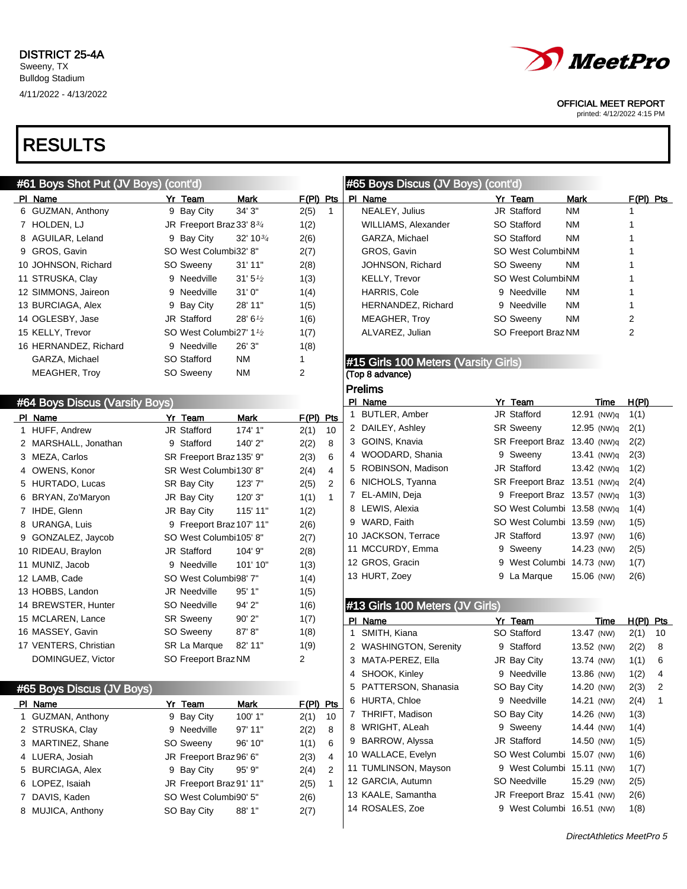# RESULTS

#### #61 Boys Shot Put (JV Boys) (cont'd) PI Name **Yr Team** Mark F(PI) Pts 6 GUZMAN, Anthony 9 Bay City 34' 3" 2(5) 1 7 HOLDEN, LJ  $\sqrt{3}$  JR Freeport Braz 33' 8 $\frac{3}{4}$  1(2) 8 AGUILAR, Leland 9 Bay City 32' 10<sup>3/4</sup> 2(6) 9 GROS, Gavin SO West Columbi32' 8" 2(7) 10 JOHNSON, Richard SO Sweeny 31' 11" 2(8) 11 STRUSKA, Clay  $9$  Needville  $31'5'2$   $1(3)$ 12 SIMMONS, Jaireon 9 Needville 31' 0" 1(4) 13 BURCIAGA, Alex 9 Bay City 28' 11" 1(5) 14 OGLESBY, Jase  $JR$  Stafford  $28' 6<sup>1</sup>2$  1(6) 15 KELLY, Trevor SO West Columbi27' 1<sup>1</sup>/<sub>2</sub> 1(7) 16 HERNANDEZ, Richard 9 Needville 26' 3" 1(8) GARZA, Michael SO Stafford NM 1 MEAGHER, Troy SO Sweeny NM 2 #64 Boys Discus (Varsity Boys) PI Name **Yr Team** Mark F(PI) Pts 1 HUFF, Andrew JR Stafford 174' 1" 2(1) 10 2 MARSHALL, Jonathan 9 Stafford 140' 2" 2(2) 8 3 MEZA, Carlos SR Freeport Braz 135' 9" 2(3) 6 4 OWENS, Konor SR West Columbi130' 8" 2(4) 4 5 HURTADO, Lucas SR Bay City 123' 7" 2(5) 2 6 BRYAN, Zo'Maryon JR Bay City 120' 3" 1(1) 1 7 IHDE, Glenn JR Bay City 115' 11" 1(2) 8 URANGA, Luis 9 Freeport Braz107' 11" 2(6) 9 GONZALEZ, Jaycob SO West Columbi105' 8" 2(7) 10 RIDEAU, Braylon JR Stafford 104' 9" 2(8) 11 MUNIZ, Jacob 9 Needville 101' 10" 1(3) 12 LAMB, Cade SO West Columbi98' 7" 1(4) 13 HOBBS, Landon JR Needville 95' 1" 1(5) 14 BREWSTER, Hunter SO Needville 94' 2" 1(6) 15 MCLAREN, Lance SR Sweeny 90' 2" 1(7) 16 MASSEY, Gavin SO Sweeny 87' 8" 1(8) 17 VENTERS, Christian SR La Marque 82' 11" 1(9) DOMINGUEZ, Victor SO Freeport BrazNM 2 #65 Boys Discus (JV Boys) PI Name **Yr Team** Mark F(PI) Pts 1 GUZMAN, Anthony 9 Bay City 100' 1" 2(1) 10 2 STRUSKA, Clay 9 Needville 97' 11" 2(2) 8 3 MARTINEZ, Shane SO Sweeny 96' 10" 1(1) 6 4 LUERA, Josiah JR Freeport Braz 96' 6" 2(3) 4 5 BURCIAGA, Alex 9 Bay City 95' 9" 2(4) 2 6 LOPEZ, Isaiah JR Freeport Braz91' 11" 2(5) 1 7 DAVIS, Kaden SO West Columbi90' 5" 2(6) 8 MUJICA, Anthony SO Bay City 88' 1" 2(7) #65 Boys Discus (JV Boys) (cont'd) PI Name **Yr Team** Mark F(PI) Pts NEALEY, Julius **JR Stafford** NM 1 WILLIAMS, Alexander SO Stafford NM 1 GARZA, Michael SO Stafford NM 1 GROS, Gavin SO West ColumbiNM 1 JOHNSON, Richard SO Sweeny NM 1 KELLY, Trevor SO West ColumbiNM 1 HARRIS, Cole 9 Needville NM 1 HERNANDEZ, Richard 9 Needville NM 1 MEAGHER, Troy SO Sweeny NM 2 ALVAREZ, Julian SO Freeport Braz NM 2 #15 Girls 100 Meters (Varsity Girls) (Top 8 advance) Prelims PI Name **Yr Team Yr Team** Time H(PI) 1 BUTLER, Amber JR Stafford 12.91 (NW)q 1(1) 2 DAILEY, Ashley SR Sweeny 12.95 (NW)q 2(1) 3 GOINS, Knavia SR Freeport Braz 13.40 (NW)q 2(2) 4 WOODARD, Shania 9 Sweeny 13.41 (NW)q 2(3) 5 ROBINSON, Madison JR Stafford 13.42 (NW)q 1(2) 6 NICHOLS, Tyanna SR Freeport Braz 13.51 (NW)q 2(4) 7 EL-AMIN, Deja 9 Freeport Braz 13.57 (NW)q 1(3) 8 LEWIS, Alexia SO West Columbi 13.58 (NW)q 1(4) 9 WARD, Faith SO West Columbi 13.59 (NW) 1(5) 10 JACKSON, Terrace JR Stafford 13.97 (NW) 1(6) 11 MCCURDY, Emma 9 Sweeny 14.23 (NW) 2(5) 12 GROS, Gracin 9 West Columbi 14.73 (NW) 1(7) 13 HURT, Zoey 6 0 20 20 13 HURT, Zoey 6 20 13 HURT, 2010 #13 Girls 100 Meters (JV Girls) PI Name Yr Team Time H(PI) Pts 1 SMITH, Kiana SO Stafford 13.47 (NW) 2(1) 10 2 WASHINGTON, Serenity 9 Stafford 13.52 (NW) 2(2) 8 3 MATA-PEREZ, Ella JR Bay City 13.74 (NW) 1(1) 6 4 SHOOK, Kinley 9 Needville 13.86 (NW) 1(2) 4 5 PATTERSON, Shanasia SO Bay City 14.20 (NW) 2(3) 2 6 HURTA, Chloe 9 Needville 14.21 (NW) 2(4) 1 7 THRIFT, Madison SO Bay City 14.26 (NW) 1(3) 8 WRIGHT, ALeah 9 Sweeny 14.44 (NW) 1(4) 9 BARROW, Alyssa JR Stafford 14.50 (NW) 1(5) 10 WALLACE, Evelyn SO West Columbi 15.07 (NW) 1(6) 11 TUMLINSON, Mayson 9 West Columbi 15.11 (NW) 1(7) 12 GARCIA, Autumn SO Needville 15.29 (NW) 2(5) 13 KAALE, Samantha JR Freeport Braz 15.41 (NW) 2(6) 14 ROSALES, Zoe 9 West Columbi 16.51 (NW) 1(8) DirectAthletics MeetPro 5



OFFICIAL MEET REPORT

printed: 4/12/2022 4:15 PM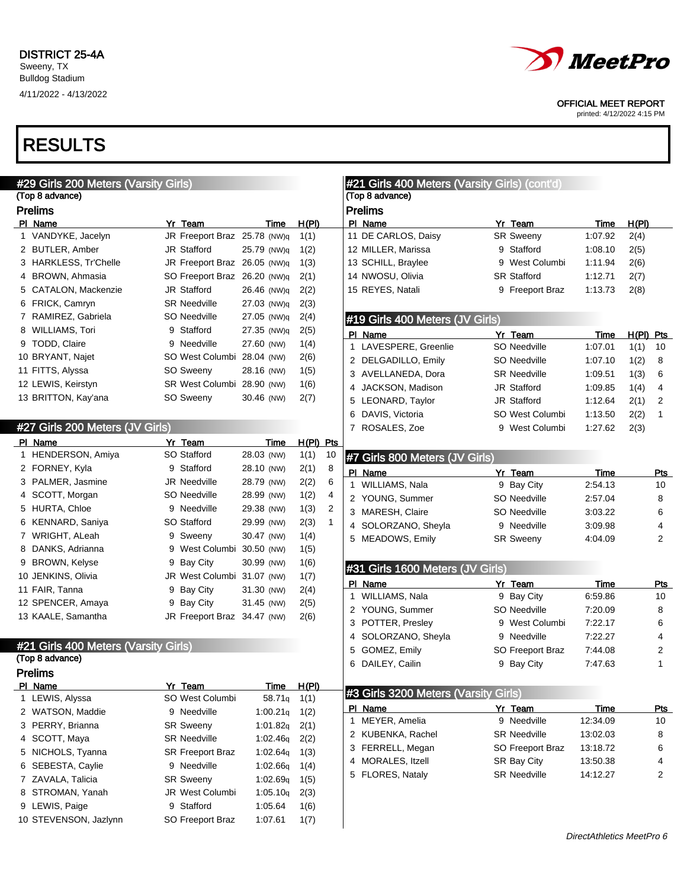

OFFICIAL MEET REPORT

printed: 4/12/2022 4:15 PM

| #29 Girls 200 Meters (Varsity Girls) |                              |             |                      | #21 Girls 400 Meters (Varsity Girls) (cont'd) |                     |             |                |
|--------------------------------------|------------------------------|-------------|----------------------|-----------------------------------------------|---------------------|-------------|----------------|
| (Top 8 advance)                      |                              |             |                      | (Top 8 advance)                               |                     |             |                |
| <b>Prelims</b>                       |                              |             |                      | <b>Prelims</b>                                |                     |             |                |
| PI Name                              | Yr Team                      | Time        | H(PI)                | PI Name                                       | Yr Team             | Time        | H(PI)          |
| 1 VANDYKE, Jacelyn                   | JR Freeport Braz 25.78 (NW)q |             | 1(1)                 | 11 DE CARLOS, Daisy                           | <b>SR Sweeny</b>    | 1:07.92     | 2(4)           |
| 2 BUTLER, Amber                      | JR Stafford                  | 25.79 (NW)q | 1(2)                 | 12 MILLER, Marissa                            | 9 Stafford          | 1:08.10     | 2(5)           |
| 3 HARKLESS, Tr'Chelle                | JR Freeport Braz 26.05 (NW)q |             | 1(3)                 | 13 SCHILL, Braylee                            | 9 West Columbi      | 1:11.94     | 2(6)           |
| 4 BROWN, Ahmasia                     | SO Freeport Braz 26.20 (NW)q |             | 2(1)                 | 14 NWOSU, Olivia                              | <b>SR Stafford</b>  | 1:12.71     | 2(7)           |
| 5 CATALON, Mackenzie                 | JR Stafford                  | 26.46 (NW)q | 2(2)                 | 15 REYES, Natali                              | 9 Freeport Braz     | 1:13.73     | 2(8)           |
| 6 FRICK, Camryn                      | <b>SR Needville</b>          | 27.03 (NW)q | 2(3)                 |                                               |                     |             |                |
| 7 RAMIREZ, Gabriela                  | SO Needville                 | 27.05 (NW)q | 2(4)                 | #19 Girls 400 Meters (JV Girls)               |                     |             |                |
| 8 WILLIAMS, Tori                     | 9 Stafford                   | 27.35 (NW)q | 2(5)                 | PI Name                                       | Yr Team             | Time        | $H(PI)$ Pts    |
| 9 TODD, Claire                       | 9 Needville                  | 27.60 (NW)  | 1(4)                 | 1 LAVESPERE, Greenlie                         | SO Needville        | 1:07.01     | 1(1)<br>10     |
| 10 BRYANT, Najet                     | SO West Columbi 28.04 (NW)   |             | 2(6)                 | 2 DELGADILLO, Emily                           | SO Needville        | 1:07.10     | 1(2)<br>8      |
| 11 FITTS, Alyssa                     | SO Sweeny                    | 28.16 (NW)  | 1(5)                 | 3 AVELLANEDA, Dora                            | <b>SR Needville</b> | 1:09.51     | 1(3)<br>6      |
| 12 LEWIS, Keirstyn                   | SR West Columbi 28.90 (NW)   |             | 1(6)                 | 4 JACKSON, Madison                            | JR Stafford         | 1:09.85     | 4<br>1(4)      |
| 13 BRITTON, Kay'ana                  | SO Sweeny                    | 30.46 (NW)  | 2(7)                 | 5 LEONARD, Taylor                             | JR Stafford         | 1:12.64     | 2(1)<br>2      |
|                                      |                              |             |                      | 6 DAVIS, Victoria                             | SO West Columbi     | 1:13.50     | 2(2)<br>1      |
| #27 Girls 200 Meters (JV Girls)      |                              |             |                      | 7 ROSALES, Zoe                                | 9 West Columbi      | 1:27.62     | 2(3)           |
| PI Name                              | Yr Team                      | Time        | $H(PI)$ Pts          |                                               |                     |             |                |
| 1 HENDERSON, Amiya                   | SO Stafford                  | 28.03 (NW)  | 1(1)<br>10           | #7 Girls 800 Meters (JV Girls)                |                     |             |                |
| 2 FORNEY, Kyla                       | 9 Stafford                   | 28.10 (NW)  | 2(1)<br>8            |                                               |                     |             |                |
| 3 PALMER, Jasmine                    | <b>JR Needville</b>          | 28.79 (NW)  | 2(2)<br>6            | PI Name                                       | Yr Team             | Time        | Pts            |
| 4 SCOTT, Morgan                      | SO Needville                 | 28.99 (NW)  | 1(2)<br>4            | 1 WILLIAMS, Nala                              | 9 Bay City          | 2:54.13     | 10             |
| 5 HURTA, Chloe                       | 9 Needville                  | 29.38 (NW)  | 2<br>1(3)            | 2 YOUNG, Summer                               | SO Needville        | 2:57.04     | 8              |
| 6 KENNARD, Saniya                    | SO Stafford                  | 29.99 (NW)  | 2(3)<br>$\mathbf{1}$ | 3 MARESH, Claire                              | SO Needville        | 3:03.22     | 6              |
| 7 WRIGHT, ALeah                      | 9 Sweeny                     | 30.47 (NW)  | 1(4)                 | 4 SOLORZANO, Sheyla                           | 9 Needville         | 3:09.98     | 4              |
| 8 DANKS, Adrianna                    | 9 West Columbi 30.50 (NW)    |             | 1(5)                 | 5 MEADOWS, Emily                              | <b>SR Sweeny</b>    | 4:04.09     | $\overline{2}$ |
| 9 BROWN, Kelyse                      | 9 Bay City                   | 30.99 (NW)  | 1(6)                 |                                               |                     |             |                |
| 10 JENKINS, Olivia                   | JR West Columbi 31.07 (NW)   |             | 1(7)                 | #31 Girls 1600 Meters (JV Girls)              |                     |             |                |
| 11 FAIR, Tanna                       | 9 Bay City                   | 31.30 (NW)  | 2(4)                 | PI Name                                       | Yr Team             | <b>Time</b> | Pts            |
| 12 SPENCER, Amaya                    | 9 Bay City                   | 31.45 (NW)  | 2(5)                 | 1 WILLIAMS, Nala                              | 9 Bay City          | 6:59.86     | 10             |
| 13 KAALE, Samantha                   | JR Freeport Braz 34.47 (NW)  |             | 2(6)                 | 2 YOUNG, Summer                               | SO Needville        | 7:20.09     | 8              |
|                                      |                              |             |                      | 3 POTTER, Presley                             | 9 West Columbi      | 7:22.17     | 6              |
|                                      |                              |             |                      | 4 SOLORZANO, Sheyla                           | 9 Needville         | 7:22.27     | 4              |
| #21 Girls 400 Meters (Varsity Girls) |                              |             |                      | 5 GOMEZ, Emily                                | SO Freeport Braz    | 7:44.08     | 2              |
| (Top 8 advance)                      |                              |             |                      | 6 DAILEY, Cailin                              | 9 Bay City          | 7:47.63     | $\mathbf{1}$   |
| <b>Prelims</b><br>PI Name            | Yr Team                      | <b>Time</b> | H(PI)                |                                               |                     |             |                |
| 1 LEWIS, Alyssa                      | SO West Columbi              | 58.71q      | 1(1)                 | #3 Girls 3200 Meters (Varsity Girls)          |                     |             |                |
| 2 WATSON, Maddie                     | 9 Needville                  | 1:00.21q    | 1(2)                 | PI Name                                       | Yr Team             | <b>Time</b> | <u>Pts</u>     |
| 3 PERRY, Brianna                     | <b>SR Sweeny</b>             | 1:01.82q    | 2(1)                 | 1 MEYER, Amelia                               | 9 Needville         | 12:34.09    | 10             |
| 4 SCOTT, Maya                        | <b>SR Needville</b>          | 1:02.46q    | 2(2)                 | 2 KUBENKA, Rachel                             | <b>SR Needville</b> | 13:02.03    | 8              |
| 5 NICHOLS, Tyanna                    | SR Freeport Braz             | 1:02.64q    | 1(3)                 | 3 FERRELL, Megan                              | SO Freeport Braz    | 13:18.72    | 6              |
| 6 SEBESTA, Caylie                    | 9 Needville                  | 1:02.66q    | 1(4)                 | 4 MORALES, Itzell                             | SR Bay City         | 13:50.38    | 4              |
| 7 ZAVALA, Talicia                    | <b>SR Sweeny</b>             | 1:02.69q    | 1(5)                 | 5 FLORES, Nataly                              | <b>SR Needville</b> | 14:12.27    | $\overline{2}$ |
| 8 STROMAN, Yanah                     | JR West Columbi              | 1:05.10q    | 2(3)                 |                                               |                     |             |                |
| 9 LEWIS, Paige                       | 9 Stafford                   | 1:05.64     | 1(6)                 |                                               |                     |             |                |
| 10 STEVENSON, Jazlynn                | SO Freeport Braz             | 1:07.61     | 1(7)                 |                                               |                     |             |                |
|                                      |                              |             |                      |                                               |                     |             |                |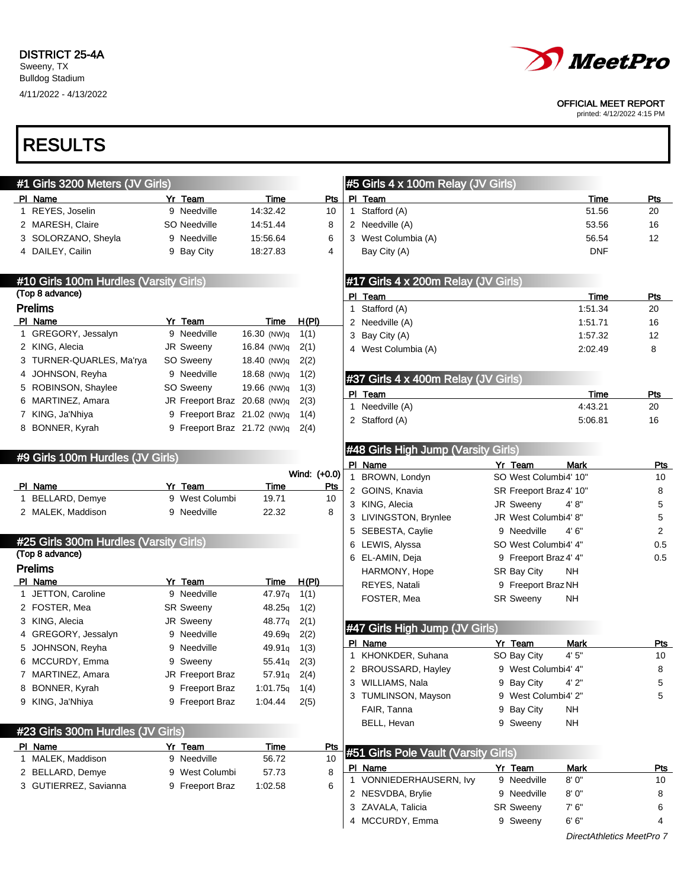4/11/2022 - 4/13/2022

# RESULTS

| #1 Girls 3200 Meters (JV Girls)        |                              |             |              |            |   | #5 Girls 4 x 100m Relay (JV Girls)   |   |                         |             |                |
|----------------------------------------|------------------------------|-------------|--------------|------------|---|--------------------------------------|---|-------------------------|-------------|----------------|
| PI Name                                | Yr Team                      | Time        |              | Pts        |   | PI Team                              |   |                         | Time        | Pts            |
| 1 REYES, Joselin                       | 9 Needville                  | 14:32.42    |              | 10         |   | 1 Stafford (A)                       |   |                         | 51.56       | 20             |
| 2 MARESH, Claire                       | SO Needville                 | 14:51.44    |              | 8          |   | 2 Needville (A)                      |   |                         | 53.56       | 16             |
| 3 SOLORZANO, Sheyla                    | 9 Needville                  | 15:56.64    |              | 6          |   | 3 West Columbia (A)                  |   |                         | 56.54       | 12             |
| 4 DAILEY, Cailin                       | 9 Bay City                   | 18:27.83    |              | 4          |   | Bay City (A)                         |   |                         | <b>DNF</b>  |                |
| #10 Girls 100m Hurdles (Varsity Girls) |                              |             |              |            |   | #17 Girls 4 x 200m Relay (JV Girls)  |   |                         |             |                |
| (Top 8 advance)                        |                              |             |              |            |   | PI Team                              |   |                         | <b>Time</b> | Pts            |
| <b>Prelims</b>                         |                              |             |              |            |   | 1 Stafford (A)                       |   |                         | 1:51.34     | 20             |
| PI Name                                | Yr Team                      | Time        | H(PI)        |            |   | 2 Needville (A)                      |   |                         | 1:51.71     | 16             |
| 1 GREGORY, Jessalyn                    | 9 Needville                  | 16.30 (NW)q | 1(1)         |            |   | 3 Bay City (A)                       |   |                         | 1:57.32     | 12             |
| 2 KING, Alecia                         | JR Sweeny                    | 16.84 (NW)q | 2(1)         |            |   | 4 West Columbia (A)                  |   |                         | 2:02.49     | 8              |
| 3 TURNER-QUARLES, Ma'rya               | SO Sweeny                    | 18.40 (NW)q | 2(2)         |            |   |                                      |   |                         |             |                |
| 4 JOHNSON, Reyha                       | 9 Needville                  | 18.68 (NW)q | 1(2)         |            |   | #37 Girls 4 x 400m Relay (JV Girls)  |   |                         |             |                |
| 5 ROBINSON, Shaylee                    | SO Sweeny                    | 19.66 (NW)q | 1(3)         |            |   | PI Team                              |   |                         | Time        | Pts            |
| 6 MARTINEZ, Amara                      | JR Freeport Braz 20.68 (NW)q |             | 2(3)         |            |   | 1 Needville (A)                      |   |                         | 4:43.21     | 20             |
| 7 KING, Ja'Nhiya                       | 9 Freeport Braz 21.02 (NW)q  |             | 1(4)         |            |   | 2 Stafford (A)                       |   |                         | 5:06.81     | 16             |
| 8 BONNER, Kyrah                        | 9 Freeport Braz 21.72 (NW)q  |             | 2(4)         |            |   |                                      |   |                         |             |                |
|                                        |                              |             |              |            |   | #48 Girls High Jump (Varsity Girls)  |   |                         |             |                |
| #9 Girls 100m Hurdles (JV Girls)       |                              |             |              |            |   | PI Name                              |   | Yr Team                 | <b>Mark</b> | <u>Pts</u>     |
|                                        |                              |             | Wind: (+0.0) |            |   | 1 BROWN, Londyn                      |   | SO West Columbi4' 10"   |             | 10             |
| PI Name                                | Yr Team                      | Time        |              | <b>Pts</b> |   | 2 GOINS, Knavia                      |   | SR Freeport Braz 4' 10" |             | 8              |
| 1 BELLARD, Demye                       | 9 West Columbi               | 19.71       |              | 10         |   | 3 KING, Alecia                       |   | JR Sweeny               | 4' 8''      | 5              |
| 2 MALEK, Maddison                      | 9 Needville                  | 22.32       |              | 8          |   | 3 LIVINGSTON, Brynlee                |   | JR West Columbi4' 8"    |             | 5              |
|                                        |                              |             |              |            |   | 5 SEBESTA, Caylie                    |   | 9 Needville             | 4'6''       | $\overline{2}$ |
| #25 Girls 300m Hurdles (Varsity Girls) |                              |             |              |            |   | 6 LEWIS, Alyssa                      |   | SO West Columbi4' 4"    |             | 0.5            |
| (Top 8 advance)                        |                              |             |              |            |   | 6 EL-AMIN, Deja                      |   | 9 Freeport Braz 4' 4"   |             | 0.5            |
| <b>Prelims</b>                         |                              |             |              |            |   | HARMONY, Hope                        |   | SR Bay City             | <b>NH</b>   |                |
| PI Name                                | Yr Team                      | Time        | H(PI)        |            |   | REYES, Natali                        |   | 9 Freeport Braz NH      |             |                |
| 1 JETTON, Caroline                     | 9 Needville                  | 47.97q      | 1(1)         |            |   | FOSTER, Mea                          |   | <b>SR Sweeny</b>        | NH          |                |
| 2 FOSTER, Mea                          | <b>SR Sweeny</b>             | 48.25q      | 1(2)         |            |   |                                      |   |                         |             |                |
| 3 KING, Alecia                         | <b>JR Sweeny</b>             | 48.77q      | 2(1)         |            |   | #47 Girls High Jump (JV Girls)       |   |                         |             |                |
| 4 GREGORY, Jessalyn                    | 9 Needville                  | 49.69q      | 2(2)         |            |   | PI Name                              |   | Yr Team                 | Mark        | Pts            |
| 5 JOHNSON, Reyha                       | 9 Needville                  | 49.91q      | 1(3)         |            |   | 1 KHONKDER, Suhana                   |   | SO Bay City             | 4'5''       | 10             |
| 6 MCCURDY, Emma                        | 9 Sweeny                     | 55.41q      | 2(3)         |            |   | 2 BROUSSARD, Hayley                  |   | 9 West Columbi4' 4"     |             | 8              |
| 7 MARTINEZ, Amara                      | <b>JR Freeport Braz</b>      | 57.91q      | 2(4)         |            |   | 3 WILLIAMS, Nala                     |   | 9 Bay City              | 4' 2"       |                |
| 8 BONNER, Kyrah                        | 9 Freeport Braz              | 1:01.75q    | 1(4)         |            |   | 3 TUMLINSON, Mayson                  |   | 9 West Columbi4' 2"     |             | 5<br>5         |
| 9 KING, Ja'Nhiya                       | 9 Freeport Braz              | 1:04.44     | 2(5)         |            |   | FAIR, Tanna                          |   |                         | <b>NH</b>   |                |
|                                        |                              |             |              |            |   | BELL, Hevan                          | 9 | Bay City<br>9 Sweeny    | <b>NH</b>   |                |
| #23 Girls 300m Hurdles (JV Girls)      |                              |             |              |            |   |                                      |   |                         |             |                |
| PI Name                                | Yr Team                      | <u>Time</u> |              | <u>Pts</u> |   | #51 Girls Pole Vault (Varsity Girls) |   |                         |             |                |
| 1 MALEK, Maddison                      | 9 Needville                  | 56.72       |              | 10         |   | PI Name                              |   | Yr_Team                 | <b>Mark</b> | <u>Pts</u>     |
| 2 BELLARD, Demye                       | 9 West Columbi               | 57.73       |              | 8          | 1 | VONNIEDERHAUSERN, Ivy                |   | 9 Needville             | 8' 0"       | 10             |
| 3 GUTIERREZ, Savianna                  | 9 Freeport Braz              | 1:02.58     |              | 6          |   | 2 NESVDBA, Brylie                    |   | 9 Needville             | 8' 0"       | 8              |
|                                        |                              |             |              |            |   | 3 ZAVALA, Talicia                    |   | <b>SR Sweeny</b>        | 7'6''       | 6              |
|                                        |                              |             |              |            |   | 4 MCCURDY, Emma                      |   | 9 Sweeny                | 6' 6''      | 4              |
|                                        |                              |             |              |            |   |                                      |   |                         |             |                |



OFFICIAL MEET REPORT

printed: 4/12/2022 4:15 PM

DirectAthletics MeetPro 7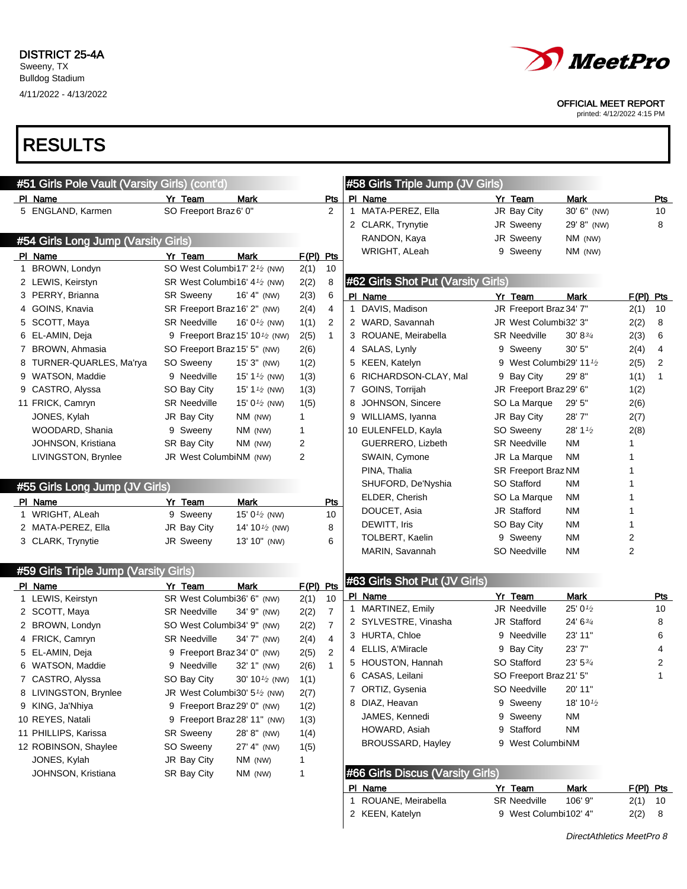

#### OFFICIAL MEET REPORT

printed: 4/12/2022 4:15 PM

| #51 Girls Pole Vault (Varsity Girls) (cont'd) |                                                       |                                                         |                |                |              | #58 Girls Triple Jump (JV Girls)   |                                      |                    |             |     |
|-----------------------------------------------|-------------------------------------------------------|---------------------------------------------------------|----------------|----------------|--------------|------------------------------------|--------------------------------------|--------------------|-------------|-----|
| PI Name                                       | Yr Team                                               | Mark                                                    |                | Pts            |              | PI Name                            | Yr Team                              | Mark               |             | Pts |
| 5 ENGLAND, Karmen                             | SO Freeport Braz 6' 0"                                |                                                         |                | 2              |              | 1 MATA-PEREZ, Ella                 | JR Bay City                          | 30' 6" (NW)        |             | 10  |
|                                               |                                                       |                                                         |                |                |              | 2 CLARK, Trynytie                  | JR Sweeny                            | 29' 8" (NW)        |             | 8   |
| #54 Girls Long Jump (Varsity Girls)           |                                                       |                                                         |                |                |              | RANDON, Kaya                       | JR Sweeny                            | NM (NW)            |             |     |
| PI Name                                       | Yr Team                                               | Mark                                                    | F(PI) Pts      |                |              | WRIGHT, ALeah                      | 9 Sweeny                             | NM (NW)            |             |     |
| 1 BROWN, Londyn                               | SO West Columbi17' 2 <sup>1/2</sup> (NW)              |                                                         | 2(1)           | 10             |              |                                    |                                      |                    |             |     |
| 2 LEWIS, Keirstyn                             | SR West Columbi16' 4 <sup>1/2</sup> (NW)              |                                                         | 2(2)           | 8              |              | #62 Girls Shot Put (Varsity Girls) |                                      |                    |             |     |
| 3 PERRY, Brianna                              | <b>SR Sweeny</b>                                      | 16' 4" (NW)                                             | 2(3)           | 6              |              | PI Name                            | Yr Team                              | Mark               | $F(PI)$ Pts |     |
| 4 GOINS, Knavia                               | SR Freeport Braz 16' 2" (NW)                          |                                                         | 2(4)           | 4              | $\mathbf{1}$ | DAVIS, Madison                     | JR Freeport Braz 34' 7"              |                    | 2(1)        | 10  |
| 5 SCOTT, Maya                                 | <b>SR Needville</b>                                   | 16' 0 $\frac{1}{2}$ (NW)                                | 1(1)           | 2              |              | 2 WARD, Savannah                   | JR West Columbi32' 3"                |                    | 2(2)        | 8   |
| 6 EL-AMIN, Deja                               |                                                       | 9 Freeport Braz 15' 10 <sup>1</sup> / <sub>2</sub> (NW) | 2(5)           | $\mathbf{1}$   |              | 3 ROUANE, Meirabella               | <b>SR Needville</b>                  | $30' 8\frac{3}{4}$ | 2(3)        | 6   |
| 7 BROWN, Ahmasia                              | SO Freeport Braz 15' 5" (NW)                          |                                                         | 2(6)           |                |              | 4 SALAS, Lynly                     | 9 Sweeny                             | 30'5''             | 2(4)        | 4   |
| 8 TURNER-QUARLES, Ma'rya                      | SO Sweeny                                             | $15'3''$ (NW)                                           | 1(2)           |                |              | 5 KEEN, Katelyn                    | 9 West Columbi29' 11 <sup>1</sup> /2 |                    | 2(5)        | 2   |
| 9 WATSON, Maddie                              | 9 Needville                                           | 15' 1 $\frac{1}{2}$ (NW)                                | 1(3)           |                |              | 6 RICHARDSON-CLAY, Mal             | 9 Bay City                           | 29' 8"             | 1(1)        | 1   |
| 9 CASTRO, Alyssa                              | SO Bay City                                           | 15' 1 $\frac{1}{2}$ (NW)                                | 1(3)           |                |              | 7 GOINS, Torrijah                  | JR Freeport Braz 29' 6"              |                    | 1(2)        |     |
| 11 FRICK, Camryn                              | <b>SR Needville</b>                                   | 15' 0 <sup><math>1/2</math></sup> (NW)                  | 1(5)           |                | 8            | JOHNSON, Sincere                   | SO La Marque                         | 29' 5"             | 2(6)        |     |
| JONES, Kylah                                  | JR Bay City                                           | NM (NW)                                                 | $\mathbf{1}$   |                |              | 9 WILLIAMS, Iyanna                 | JR Bay City                          | 28'7"              | 2(7)        |     |
| WOODARD, Shania                               | 9 Sweeny                                              | $NM$ (NW)                                               | 1              |                |              | 10 EULENFELD, Kayla                | SO Sweeny                            | 28' 1 1/2          | 2(8)        |     |
| JOHNSON, Kristiana                            | <b>SR Bay City</b>                                    | $NM$ (NW)                                               | $\overline{2}$ |                |              | GUERRERO, Lizbeth                  | <b>SR Needville</b>                  | <b>NM</b>          | 1           |     |
| LIVINGSTON, Brynlee                           | JR West ColumbiNM (NW)                                |                                                         | $\overline{2}$ |                |              | SWAIN, Cymone                      | JR La Marque                         | ΝM                 | 1           |     |
|                                               |                                                       |                                                         |                |                |              | PINA, Thalia                       | SR Freeport Braz NM                  |                    | 1           |     |
| #55 Girls Long Jump (JV Girls)                |                                                       |                                                         |                |                |              | SHUFORD, De'Nyshia                 | SO Stafford                          | ΝM                 | 1           |     |
| PI Name                                       | Yr Team                                               | Mark                                                    |                | Pts            |              | ELDER, Cherish                     | SO La Marque                         | ΝM                 | 1           |     |
| 1 WRIGHT, ALeah                               | 9 Sweeny                                              | 15' 0 $\frac{1}{2}$ (NW)                                |                | 10             |              | DOUCET, Asia                       | JR Stafford                          | ΝM                 | 1           |     |
| 2 MATA-PEREZ, Ella                            | JR Bay City                                           | 14' 10 <sup>1</sup> / <sub>2</sub> (NW)                 |                | 8              |              | DEWITT, Iris                       | SO Bay City                          | ΝM                 | 1           |     |
| 3 CLARK, Trynytie                             | JR Sweeny                                             | 13' 10" (NW)                                            |                | 6              |              | TOLBERT, Kaelin                    | 9 Sweeny                             | ΝM                 | 2           |     |
|                                               |                                                       |                                                         |                |                |              | MARIN, Savannah                    | SO Needville                         | ΝM                 | 2           |     |
| #59 Girls Triple Jump (Varsity Girls)         |                                                       |                                                         |                |                |              |                                    |                                      |                    |             |     |
| PI Name                                       | Yr Team                                               | Mark                                                    | F(PI) Pts      |                |              | #63 Girls Shot Put (JV Girls)      |                                      |                    |             |     |
| 1 LEWIS, Keirstyn                             | SR West Columbi36' 6" (NW)                            |                                                         | 2(1)           | 10             |              | PI Name                            | Yr Team                              | <b>Mark</b>        |             | Pts |
| 2 SCOTT, Maya                                 | <b>SR Needville</b>                                   | 34' 9" (NW)                                             | 2(2)           | $\overline{7}$ |              | 1 MARTINEZ, Emily                  | <b>JR Needville</b>                  | 25' 01/2           |             | 10  |
| 2 BROWN, Londyn                               | SO West Columbi34' 9" (NW)                            |                                                         | 2(2)           | $\overline{7}$ |              | 2 SYLVESTRE, Vinasha               | JR Stafford                          | 24' 63/4           |             | 8   |
| 4 FRICK, Camryn                               | <b>SR Needville</b>                                   | 34' 7" (NW)                                             | 2(4)           | 4              |              | 3 HURTA, Chloe                     | 9 Needville                          | 23' 11"            |             | 6   |
| 5 EL-AMIN, Deja                               | 9 Freeport Braz 34' 0" (NW)                           |                                                         | 2(5)           | 2              |              | 4 ELLIS, A'Miracle                 | 9 Bay City                           | 23'7"              |             | 4   |
| 6 WATSON, Maddie                              | 9 Needville                                           | 32' 1" (NW)                                             | 2(6)           | $\mathbf{1}$   |              | 5 HOUSTON, Hannah                  | SO Stafford                          | $23'$ 5 $3/4$      |             | 2   |
| 7 CASTRO, Alyssa                              |                                                       | SO Bay City 30' 10 <sup>1/2</sup> (NW)                  | 1(1)           |                |              | 6 CASAS, Leilani                   | SO Freeport Braz 21' 5"              |                    |             | 1   |
| 8 LIVINGSTON, Brynlee                         | JR West Columbi30' 5 <sup>1</sup> / <sub>2</sub> (NW) |                                                         | 2(7)           |                |              | 7 ORTIZ, Gysenia                   | SO Needville                         | 20' 11"            |             |     |
| 9 KING, Ja'Nhiya                              | 9 Freeport Braz 29' 0" (NW)                           |                                                         | 1(2)           |                |              | 8 DIAZ, Heavan                     | 9 Sweeny                             | 18' 101/2          |             |     |
| 10 REYES, Natali                              | 9 Freeport Braz 28' 11" (NW)                          |                                                         | 1(3)           |                |              | JAMES, Kennedi                     | 9 Sweeny                             | ΝM                 |             |     |
| 11 PHILLIPS, Karissa                          | <b>SR Sweeny</b>                                      | 28' 8" (NW)                                             | 1(4)           |                |              | HOWARD, Asiah                      | 9 Stafford                           | <b>NM</b>          |             |     |
| 12 ROBINSON, Shaylee                          | SO Sweeny                                             | 27' 4" (NW)                                             | 1(5)           |                |              | <b>BROUSSARD, Hayley</b>           | 9 West ColumbiNM                     |                    |             |     |
| JONES, Kylah                                  | JR Bay City                                           | $NM$ (NW)                                               | $\mathbf{1}$   |                |              |                                    |                                      |                    |             |     |
| JOHNSON, Kristiana                            | SR Bay City                                           | NM (NW)                                                 | $\mathbf{1}$   |                |              | #66 Girls Discus (Varsity Girls)   |                                      |                    |             |     |
|                                               |                                                       |                                                         |                |                |              | PI Name                            | Yr Team                              | Mark               | $F(PI)$ Pts |     |
|                                               |                                                       |                                                         |                |                |              | 1 ROUANE, Meirabella               | <b>SR Needville</b>                  | 106' 9"            | $2(1)$ 10   |     |
|                                               |                                                       |                                                         |                |                |              | 2 KEEN, Katelyn                    | 9 West Columbi102' 4"                |                    | 2(2) 8      |     |